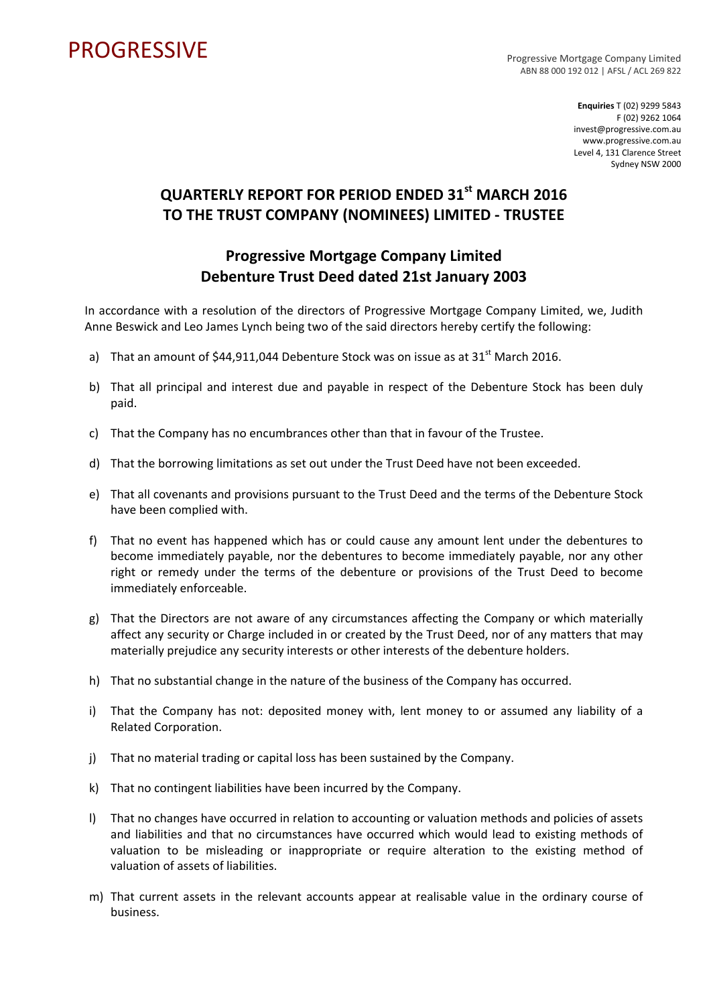## PROGRESSIVE PROGRESSIVE

ABN 88 000 192 012 | AFSL / ACL 269 822

**Enquiries** T (02) 9299 5843 F (02) 9262 1064 invest@progressive.com.au www.progressive.com.au Level 4, 131 Clarence Street Sydney NSW 2000

## **QUARTERLY REPORT FOR PERIOD ENDED 31st MARCH 2016 TO THE TRUST COMPANY (NOMINEES) LIMITED ‐ TRUSTEE**

## **Progressive Mortgage Company Limited Debenture Trust Deed dated 21st January 2003**

In accordance with a resolution of the directors of Progressive Mortgage Company Limited, we, Judith Anne Beswick and Leo James Lynch being two of the said directors hereby certify the following:

- a) That an amount of  $$44,911,044$  Debenture Stock was on issue as at  $31<sup>st</sup>$  March 2016.
- b) That all principal and interest due and payable in respect of the Debenture Stock has been duly paid.
- c) That the Company has no encumbrances other than that in favour of the Trustee.
- d) That the borrowing limitations as set out under the Trust Deed have not been exceeded.
- e) That all covenants and provisions pursuant to the Trust Deed and the terms of the Debenture Stock have been complied with.
- f) That no event has happened which has or could cause any amount lent under the debentures to become immediately payable, nor the debentures to become immediately payable, nor any other right or remedy under the terms of the debenture or provisions of the Trust Deed to become immediately enforceable.
- g) That the Directors are not aware of any circumstances affecting the Company or which materially affect any security or Charge included in or created by the Trust Deed, nor of any matters that may materially prejudice any security interests or other interests of the debenture holders.
- h) That no substantial change in the nature of the business of the Company has occurred.
- i) That the Company has not: deposited money with, lent money to or assumed any liability of a Related Corporation.
- j) That no material trading or capital loss has been sustained by the Company.
- k) That no contingent liabilities have been incurred by the Company.
- l) That no changes have occurred in relation to accounting or valuation methods and policies of assets and liabilities and that no circumstances have occurred which would lead to existing methods of valuation to be misleading or inappropriate or require alteration to the existing method of valuation of assets of liabilities.
- m) That current assets in the relevant accounts appear at realisable value in the ordinary course of business.